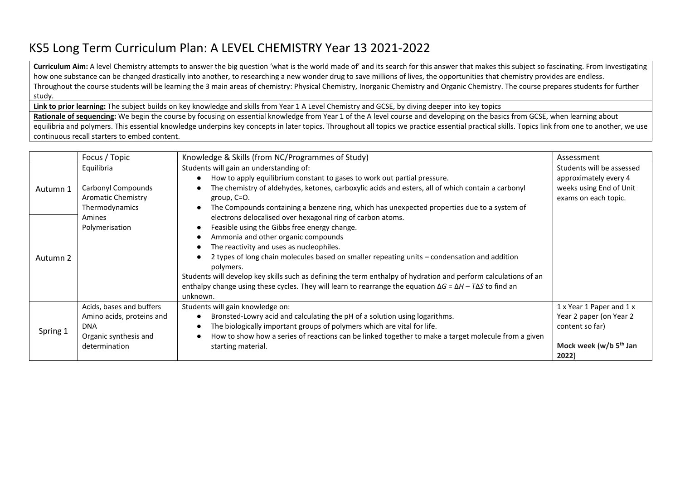## KS5 Long Term Curriculum Plan: A LEVEL CHEMISTRY Year 13 2021-2022

**Curriculum Aim:** A level Chemistry attempts to answer the big question 'what is the world made of' and its search for this answer that makes this subject so fascinating. From Investigating how one substance can be changed drastically into another, to researching a new wonder drug to save millions of lives, the opportunities that chemistry provides are endless. Throughout the course students will be learning the 3 main areas of chemistry: Physical Chemistry, Inorganic Chemistry and Organic Chemistry. The course prepares students for further study.

**Link to prior learning:** The subject builds on key knowledge and skills from Year 1 A Level Chemistry and GCSE, by diving deeper into key topics

**Rationale of sequencing:** We begin the course by focusing on essential knowledge from Year 1 of the A level course and developing on the basics from GCSE, when learning about equilibria and polymers. This essential knowledge underpins key concepts in later topics. Throughout all topics we practice essential practical skills. Topics link from one to another, we use continuous recall starters to embed content.

|          | Focus / Topic             | Knowledge & Skills (from NC/Programmes of Study)                                                                            | Assessment                         |
|----------|---------------------------|-----------------------------------------------------------------------------------------------------------------------------|------------------------------------|
| Autumn 1 | Equilibria                | Students will gain an understanding of:                                                                                     | Students will be assessed          |
|          |                           | How to apply equilibrium constant to gases to work out partial pressure.                                                    | approximately every 4              |
|          | Carbonyl Compounds        | The chemistry of aldehydes, ketones, carboxylic acids and esters, all of which contain a carbonyl                           | weeks using End of Unit            |
|          | Aromatic Chemistry        | group, C=O.                                                                                                                 | exams on each topic.               |
|          | Thermodynamics            | The Compounds containing a benzene ring, which has unexpected properties due to a system of                                 |                                    |
|          | Amines                    | electrons delocalised over hexagonal ring of carbon atoms.                                                                  |                                    |
| Autumn 2 | Polymerisation            | Feasible using the Gibbs free energy change.                                                                                |                                    |
|          |                           | Ammonia and other organic compounds                                                                                         |                                    |
|          |                           | The reactivity and uses as nucleophiles.                                                                                    |                                    |
|          |                           | 2 types of long chain molecules based on smaller repeating units - condensation and addition                                |                                    |
|          |                           | polymers.                                                                                                                   |                                    |
|          |                           | Students will develop key skills such as defining the term enthalpy of hydration and perform calculations of an             |                                    |
|          |                           | enthalpy change using these cycles. They will learn to rearrange the equation $\Delta G = \Delta H - T \Delta S$ to find an |                                    |
|          |                           | unknown.                                                                                                                    |                                    |
| Spring 1 | Acids, bases and buffers  | Students will gain knowledge on:                                                                                            | 1 x Year 1 Paper and 1 x           |
|          | Amino acids, proteins and | Bronsted-Lowry acid and calculating the pH of a solution using logarithms.                                                  | Year 2 paper (on Year 2            |
|          | <b>DNA</b>                | The biologically important groups of polymers which are vital for life.                                                     | content so far)                    |
|          | Organic synthesis and     | How to show how a series of reactions can be linked together to make a target molecule from a given                         |                                    |
|          | determination             | starting material.                                                                                                          | Mock week (w/b 5 <sup>th</sup> Jan |
|          |                           |                                                                                                                             | 2022)                              |